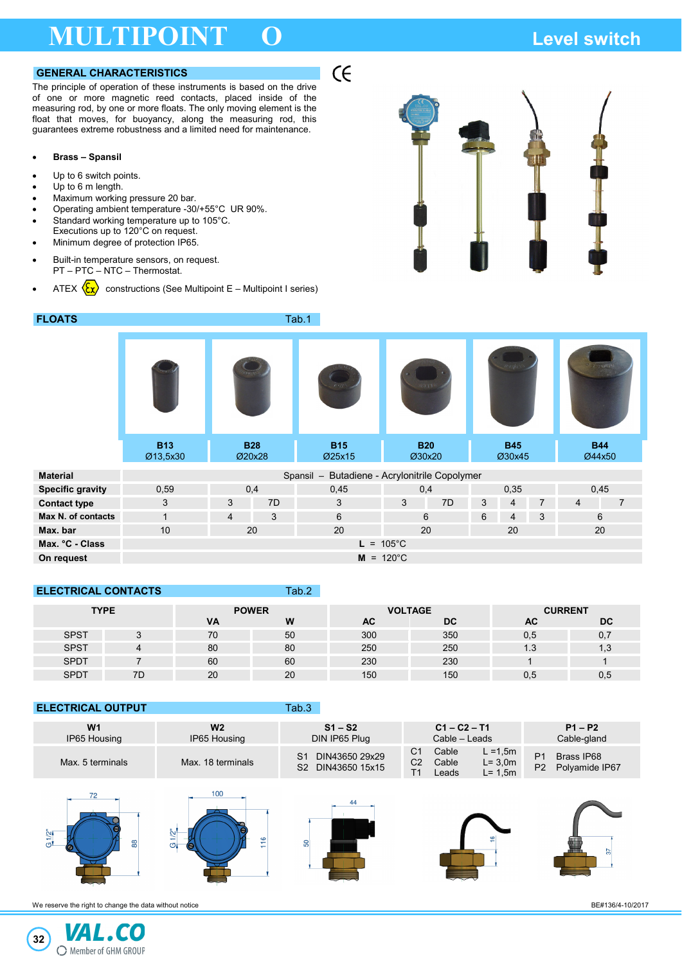## **MULTIPOINT O Level switch**

### **GENERAL CHARACTERISTICS**

The principle of operation of these instruments is based on the drive of one or more magnetic reed contacts, placed inside of the measuring rod, by one or more floats. The only moving element is the float that moves, for buoyancy, along the measuring rod, this guarantees extreme robustness and a limited need for maintenance.

#### • **Brass – Spansil**

- Up to 6 switch points.
- Up to 6 m length.
- Maximum working pressure 20 bar.
- Operating ambient temperature -30/+55°C UR 90%.
- Standard working temperature up to 105°C. Executions up to 120°C on request.
- Minimum degree of protection IP65.
- Built-in temperature sensors, on request. PT – PTC – NTC – Thermostat.
- ATEX  $\langle \mathbf{\hat{x}} \rangle$  constructions (See Multipoint E Multipoint I series)



| <b>FLOATS</b>           | Tab.1                                            |                      |    |                      |     |                      |        |                      |                |                |                      |
|-------------------------|--------------------------------------------------|----------------------|----|----------------------|-----|----------------------|--------|----------------------|----------------|----------------|----------------------|
|                         |                                                  |                      |    | ress                 |     |                      | 77.156 |                      | $7 - 8 - 8$    |                |                      |
|                         | <b>B13</b><br>Ø13,5x30                           | <b>B28</b><br>Ø20x28 |    | <b>B15</b><br>Ø25x15 |     | <b>B20</b><br>Ø30x20 |        | <b>B45</b><br>Ø30x45 |                |                | <b>B44</b><br>Ø44x50 |
| <b>Material</b>         | Butadiene - Acrylonitrile Copolymer<br>Spansil - |                      |    |                      |     |                      |        |                      |                |                |                      |
| <b>Specific gravity</b> | 0,59                                             | 0,4                  |    | 0,45                 | 0,4 |                      | 0,35   |                      | 0,45           |                |                      |
| <b>Contact type</b>     | 3                                                | 3                    | 7D | 3                    | 3   | 7D                   | 3      | 4                    | $\overline{7}$ | $\overline{4}$ | $\overline{7}$       |
| Max N. of contacts      | 1                                                | $\overline{4}$       | 3  | 6                    |     | 6                    | 6      | $\overline{4}$       | 3              |                | 6                    |
| Max. bar                | 10                                               | 20                   |    | 20                   | 20  |                      | 20     |                      | 20             |                |                      |
| Max. °C - Class         | $105^{\circ}$ C<br>$L =$                         |                      |    |                      |     |                      |        |                      |                |                |                      |
| On request              | $M = 120^{\circ}C$                               |                      |    |                      |     |                      |        |                      |                |                |                      |

 $\epsilon$ 

### **ELECTRICAL CONTACTS** Tab.2

| <b>TYPE</b> |    | <b>POWER</b> |    |     | <b>VOLTAGE</b> | <b>CURRENT</b> |     |  |
|-------------|----|--------------|----|-----|----------------|----------------|-----|--|
|             |    | VA           | W  | AC  | DC             | АC             | DC  |  |
| <b>SPST</b> |    | 70           | 50 | 300 | 350            | 0,5            | 0,7 |  |
| <b>SPST</b> |    | 80           | 80 | 250 | 250            | 1.3            | 1,3 |  |
| <b>SPDT</b> |    | 60           | 60 | 230 | 230            |                |     |  |
| <b>SPDT</b> | 7D | 20           | 20 | 150 | 150            | 0,5            | 0,5 |  |

#### **ELECTRICAL OUTPUT**

| W <sub>1</sub>   | W <sub>2</sub>    | $S1 - S2$                                 | $C1 - C2 - T1$                                                             | $P1 - P2$                                                        |  |  |
|------------------|-------------------|-------------------------------------------|----------------------------------------------------------------------------|------------------------------------------------------------------|--|--|
| IP65 Housing     | IP65 Housing      | DIN IP65 Plug                             | Cable - Leads                                                              | Cable-gland                                                      |  |  |
| Max. 5 terminals | Max. 18 terminals | DIN43650 29x29<br>S1<br>S2 DIN43650 15x15 | C1<br>Cable<br>$L = 1,5m$<br>C2<br>$L = 3,0m$<br>Cable<br>L= 1.5m<br>Leads | P <sub>1</sub><br>Brass IP68<br>P <sub>2</sub><br>Polvamide IP67 |  |  |











We reserve the right to change the data without notice **BE#136/4-10/2017 BE#136/4-10/2017** 

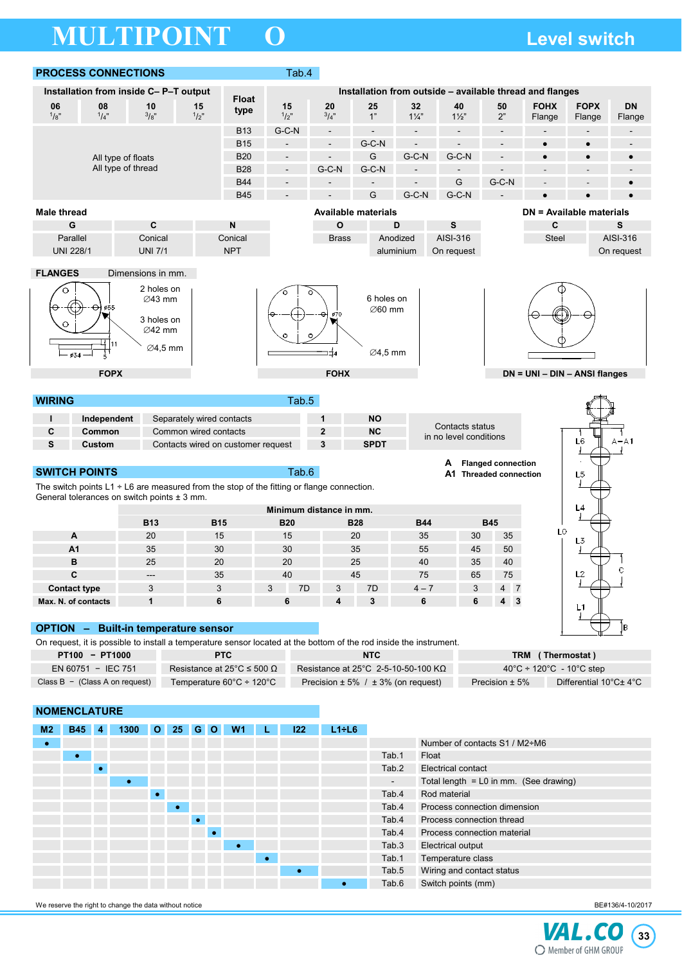# **MULTIPOINT O Level switch**



VAL.CO **33** C Member of GHM GROUP

Tab.4 Process connection thread Tab.4 Process connection material

Tab.3 Electrical output Tab.1 Temperature class Tab.5 Wiring and contact status Tab.6 Switch points (mm)

We reserve the right to change the data without notice **BE#136/4-10/2017 BE#136/4-10/2017**